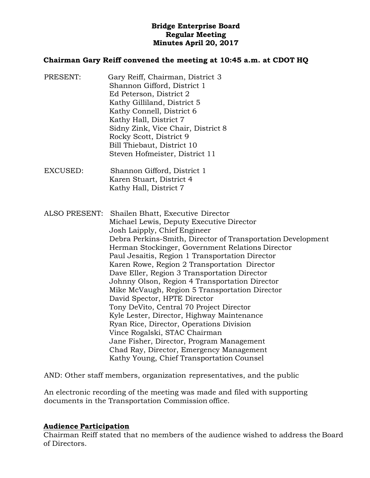## **Bridge Enterprise Board Regular Meeting Minutes April 20, 2017**

#### **Chairman Gary Reiff convened the meeting at 10:45 a.m. at CDOT HQ**

- PRESENT: Gary Reiff, Chairman, District 3 Shannon Gifford, District 1 Ed Peterson, District 2 Kathy Gilliland, District 5 Kathy Connell, District 6 Kathy Hall, District 7 Sidny Zink, Vice Chair, District 8 Rocky Scott, District 9 Bill Thiebaut, District 10 Steven Hofmeister, District 11
- EXCUSED: Shannon Gifford, District 1 Karen Stuart, District 4 Kathy Hall, District 7
- ALSO PRESENT: Shailen Bhatt, Executive Director Michael Lewis, Deputy Executive Director Josh Laipply, Chief Engineer Debra Perkins-Smith, Director of Transportation Development Herman Stockinger, Government Relations Director Paul Jesaitis, Region 1 Transportation Director Karen Rowe, Region 2 Transportation Director Dave Eller, Region 3 Transportation Director Johnny Olson, Region 4 Transportation Director Mike McVaugh, Region 5 Transportation Director David Spector, HPTE Director Tony DeVito, Central 70 Project Director Kyle Lester, Director, Highway Maintenance Ryan Rice, Director, Operations Division Vince Rogalski, STAC Chairman Jane Fisher, Director, Program Management Chad Ray, Director, Emergency Management Kathy Young, Chief Transportation Counsel

AND: Other staff members, organization representatives, and the public

An electronic recording of the meeting was made and filed with supporting documents in the Transportation Commission office.

#### **Audience Participation**

Chairman Reiff stated that no members of the audience wished to address the Board of Directors.